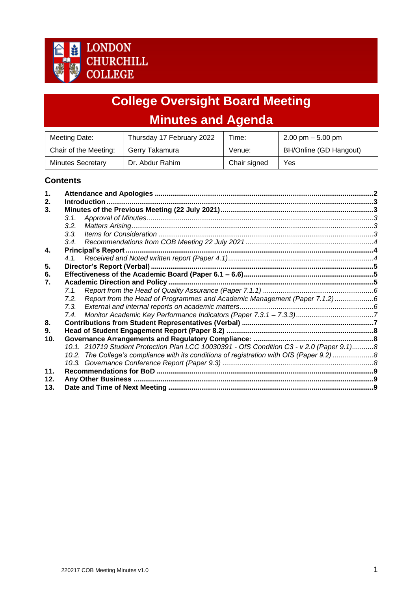

# **College Oversight Board Meeting Minutes and Agenda**

| Meeting Date:            | Thursday 17 February 2022 | Time:        | $2.00 \text{ pm} - 5.00 \text{ pm}$ |
|--------------------------|---------------------------|--------------|-------------------------------------|
| Chair of the Meeting:    | Gerry Takamura            | Venue:       | BH/Online (GD Hangout)              |
| <b>Minutes Secretary</b> | Dr. Abdur Rahim           | Chair signed | Yes                                 |

# **Contents**

<span id="page-0-0"></span>

| $\mathbf 1$ . |                                                                                           |  |  |  |  |
|---------------|-------------------------------------------------------------------------------------------|--|--|--|--|
| 2.            |                                                                                           |  |  |  |  |
| 3.            |                                                                                           |  |  |  |  |
|               | 3.1.                                                                                      |  |  |  |  |
|               | 3.2.                                                                                      |  |  |  |  |
|               | 3.3.                                                                                      |  |  |  |  |
|               |                                                                                           |  |  |  |  |
| 4.            |                                                                                           |  |  |  |  |
|               |                                                                                           |  |  |  |  |
| 5.            |                                                                                           |  |  |  |  |
| 6.            |                                                                                           |  |  |  |  |
| 7.            |                                                                                           |  |  |  |  |
|               |                                                                                           |  |  |  |  |
|               | Report from the Head of Programmes and Academic Management (Paper 7.1.2)6<br>7.2.         |  |  |  |  |
|               | 7.3.                                                                                      |  |  |  |  |
|               | 7.4.                                                                                      |  |  |  |  |
| 8.            |                                                                                           |  |  |  |  |
| 9.            |                                                                                           |  |  |  |  |
| 10.           |                                                                                           |  |  |  |  |
|               | 10.1. 210719 Student Protection Plan LCC 10030391 - OfS Condition C3 - v 2.0 (Paper 9.1)8 |  |  |  |  |
|               | 10.2. The College's compliance with its conditions of registration with OfS (Paper 9.2) 8 |  |  |  |  |
|               |                                                                                           |  |  |  |  |
| 11.           |                                                                                           |  |  |  |  |
| 12.           |                                                                                           |  |  |  |  |
| 13.           |                                                                                           |  |  |  |  |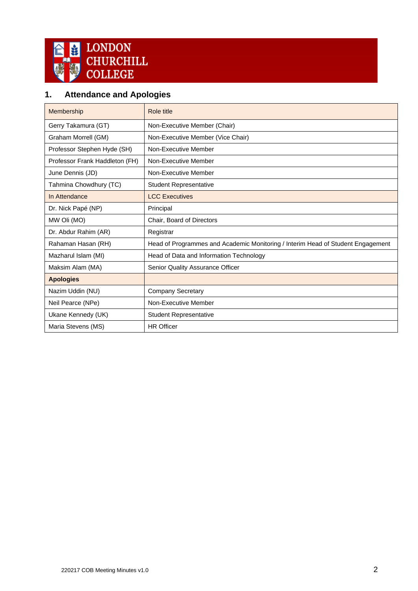

# **1. Attendance and Apologies**

<span id="page-1-0"></span>

| <b>Membership</b>              | Role title                                                                      |
|--------------------------------|---------------------------------------------------------------------------------|
| Gerry Takamura (GT)            | Non-Executive Member (Chair)                                                    |
| Graham Morrell (GM)            | Non-Executive Member (Vice Chair)                                               |
| Professor Stephen Hyde (SH)    | Non-Executive Member                                                            |
| Professor Frank Haddleton (FH) | Non-Executive Member                                                            |
| June Dennis (JD)               | Non-Executive Member                                                            |
| Tahmina Chowdhury (TC)         | <b>Student Representative</b>                                                   |
| In Attendance                  | <b>LCC Executives</b>                                                           |
| Dr. Nick Papé (NP)             | Principal                                                                       |
| MW Oli (MO)                    | Chair, Board of Directors                                                       |
| Dr. Abdur Rahim (AR)           | Registrar                                                                       |
| Rahaman Hasan (RH)             | Head of Programmes and Academic Monitoring / Interim Head of Student Engagement |
| Mazharul Islam (MI)            | Head of Data and Information Technology                                         |
| Maksim Alam (MA)               | Senior Quality Assurance Officer                                                |
| <b>Apologies</b>               |                                                                                 |
| Nazim Uddin (NU)               | <b>Company Secretary</b>                                                        |
| Neil Pearce (NPe)              | Non-Executive Member                                                            |
| Ukane Kennedy (UK)             | <b>Student Representative</b>                                                   |
| Maria Stevens (MS)             | <b>HR Officer</b>                                                               |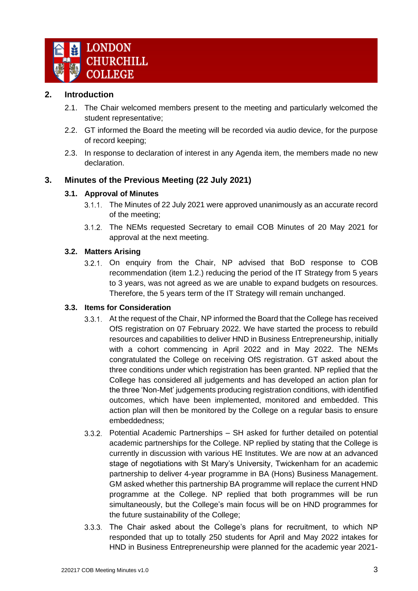

#### **2. Introduction**

- 2.1. The Chair welcomed members present to the meeting and particularly welcomed the student representative;
- 2.2. GT informed the Board the meeting will be recorded via audio device, for the purpose of record keeping;
- 2.3. In response to declaration of interest in any Agenda item, the members made no new declaration.

# <span id="page-2-1"></span><span id="page-2-0"></span>**3. Minutes of the Previous Meeting (22 July 2021)**

#### **3.1. Approval of Minutes**

- 3.1.1. The Minutes of 22 July 2021 were approved unanimously as an accurate record of the meeting;
- 3.1.2. The NEMs requested Secretary to email COB Minutes of 20 May 2021 for approval at the next meeting.

#### <span id="page-2-2"></span>**3.2. Matters Arising**

3.2.1. On enquiry from the Chair, NP advised that BoD response to COB recommendation (item 1.2.) reducing the period of the IT Strategy from 5 years to 3 years, was not agreed as we are unable to expand budgets on resources. Therefore, the 5 years term of the IT Strategy will remain unchanged.

#### <span id="page-2-3"></span>**3.3. Items for Consideration**

- 3.3.1. At the request of the Chair, NP informed the Board that the College has received OfS registration on 07 February 2022. We have started the process to rebuild resources and capabilities to deliver HND in Business Entrepreneurship, initially with a cohort commencing in April 2022 and in May 2022. The NEMs congratulated the College on receiving OfS registration. GT asked about the three conditions under which registration has been granted. NP replied that the College has considered all judgements and has developed an action plan for the three 'Non-Met' judgements producing registration conditions, with identified outcomes, which have been implemented, monitored and embedded. This action plan will then be monitored by the College on a regular basis to ensure embeddedness;
- Potential Academic Partnerships SH asked for further detailed on potential academic partnerships for the College. NP replied by stating that the College is currently in discussion with various HE Institutes. We are now at an advanced stage of negotiations with St Mary's University, Twickenham for an academic partnership to deliver 4-year programme in BA (Hons) Business Management. GM asked whether this partnership BA programme will replace the current HND programme at the College. NP replied that both programmes will be run simultaneously, but the College's main focus will be on HND programmes for the future sustainability of the College;
- The Chair asked about the College's plans for recruitment, to which NP responded that up to totally 250 students for April and May 2022 intakes for HND in Business Entrepreneurship were planned for the academic year 2021-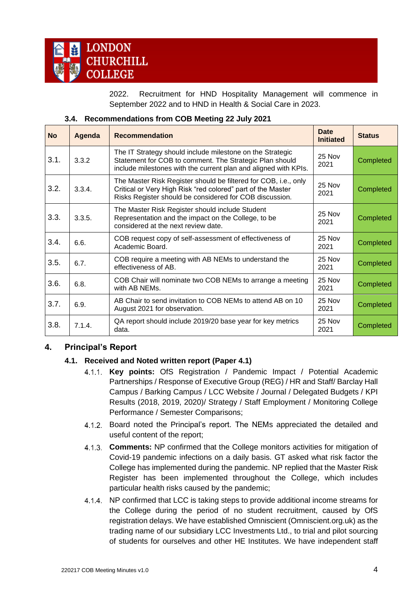

2022. Recruitment for HND Hospitality Management will commence in September 2022 and to HND in Health & Social Care in 2023.

|  | 3.4. Recommendations from COB Meeting 22 July 2021 |  |  |  |
|--|----------------------------------------------------|--|--|--|
|  |                                                    |  |  |  |

<span id="page-3-0"></span>

| <b>No</b> | Agenda | <b>Recommendation</b>                                                                                                                                                                     | Date<br><b>Initiated</b> | <b>Status</b> |
|-----------|--------|-------------------------------------------------------------------------------------------------------------------------------------------------------------------------------------------|--------------------------|---------------|
| 3.1.      | 3.3.2  | The IT Strategy should include milestone on the Strategic<br>Statement for COB to comment. The Strategic Plan should<br>include milestones with the current plan and aligned with KPIs.   | 25 Nov<br>2021           | Completed     |
| 3.2.      | 3.3.4. | The Master Risk Register should be filtered for COB, i.e., only<br>Critical or Very High Risk "red colored" part of the Master<br>Risks Register should be considered for COB discussion. | $25$ Nov<br>2021         | Completed     |
| 3.3.      | 3.3.5. | The Master Risk Register should include Student<br>Representation and the impact on the College, to be<br>considered at the next review date.                                             | $25$ Nov<br>2021         | Completed     |
| 3.4.      | 6.6.   | COB request copy of self-assessment of effectiveness of<br>Academic Board.                                                                                                                | $25$ Nov<br>2021         | Completed     |
| 3.5.      | 6.7.   | COB require a meeting with AB NEMs to understand the<br>effectiveness of AB.                                                                                                              | 25 Nov<br>2021           | Completed     |
| 3.6.      | 6.8.   | COB Chair will nominate two COB NEMs to arrange a meeting<br>with AB NEMs.                                                                                                                | 25 Nov<br>2021           | Completed     |
| 3.7.      | 6.9.   | AB Chair to send invitation to COB NEMs to attend AB on 10<br>August 2021 for observation.                                                                                                | 25 Nov<br>2021           | Completed     |
| 3.8.      | 7.1.4. | QA report should include 2019/20 base year for key metrics<br>data.                                                                                                                       | 25 Nov<br>2021           | Completed     |

# <span id="page-3-2"></span><span id="page-3-1"></span>**4. Principal's Report**

#### **4.1. Received and Noted written report (Paper 4.1)**

- **Key points:** OfS Registration / Pandemic Impact / Potential Academic Partnerships / Response of Executive Group (REG) / HR and Staff/ Barclay Hall Campus / Barking Campus / LCC Website / Journal / Delegated Budgets / KPI Results (2018, 2019, 2020)/ Strategy / Staff Employment / Monitoring College Performance / Semester Comparisons;
- Board noted the Principal's report. The NEMs appreciated the detailed and useful content of the report;
- **Comments:** NP confirmed that the College monitors activities for mitigation of Covid-19 pandemic infections on a daily basis. GT asked what risk factor the College has implemented during the pandemic. NP replied that the Master Risk Register has been implemented throughout the College, which includes particular health risks caused by the pandemic;
- 4.1.4. NP confirmed that LCC is taking steps to provide additional income streams for the College during the period of no student recruitment, caused by OfS registration delays. We have established Omniscient (Omniscient.org.uk) as the trading name of our subsidiary LCC Investments Ltd., to trial and pilot sourcing of students for ourselves and other HE Institutes. We have independent staff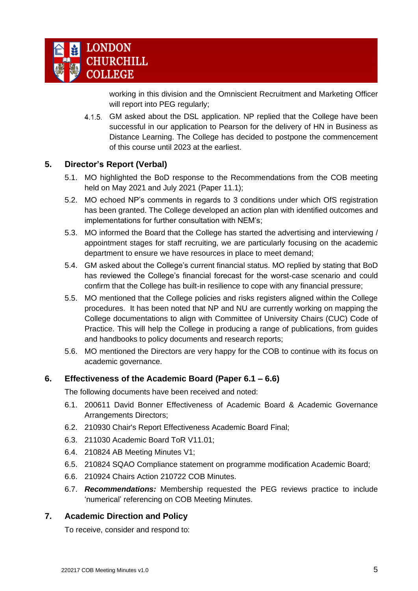

working in this division and the Omniscient Recruitment and Marketing Officer will report into PEG regularly;

4.1.5. GM asked about the DSL application. NP replied that the College have been successful in our application to Pearson for the delivery of HN in Business as Distance Learning. The College has decided to postpone the commencement of this course until 2023 at the earliest.

#### <span id="page-4-0"></span>**5. Director's Report (Verbal)**

- 5.1. MO highlighted the BoD response to the Recommendations from the COB meeting held on May 2021 and July 2021 (Paper 11.1);
- 5.2. MO echoed NP's comments in regards to 3 conditions under which OfS registration has been granted. The College developed an action plan with identified outcomes and implementations for further consultation with NEM's;
- 5.3. MO informed the Board that the College has started the advertising and interviewing / appointment stages for staff recruiting, we are particularly focusing on the academic department to ensure we have resources in place to meet demand;
- 5.4. GM asked about the College's current financial status. MO replied by stating that BoD has reviewed the College's financial forecast for the worst-case scenario and could confirm that the College has built-in resilience to cope with any financial pressure;
- 5.5. MO mentioned that the College policies and risks registers aligned within the College procedures. It has been noted that NP and NU are currently working on mapping the College documentations to align with Committee of University Chairs (CUC) Code of Practice. This will help the College in producing a range of publications, from guides and handbooks to policy documents and research reports;
- 5.6. MO mentioned the Directors are very happy for the COB to continue with its focus on academic governance.

#### <span id="page-4-1"></span>**6. Effectiveness of the Academic Board (Paper 6.1 – 6.6)**

The following documents have been received and noted:

- 6.1. 200611 David Bonner Effectiveness of Academic Board & Academic Governance Arrangements Directors;
- 6.2. 210930 Chair's Report Effectiveness Academic Board Final;
- 6.3. 211030 Academic Board ToR V11.01;
- 6.4. 210824 AB Meeting Minutes V1;
- 6.5. 210824 SQAO Compliance statement on programme modification Academic Board;
- 6.6. 210924 Chairs Action 210722 COB Minutes.
- 6.7. *Recommendations:* Membership requested the PEG reviews practice to include 'numerical' referencing on COB Meeting Minutes.

#### <span id="page-4-2"></span>**7. Academic Direction and Policy**

To receive, consider and respond to: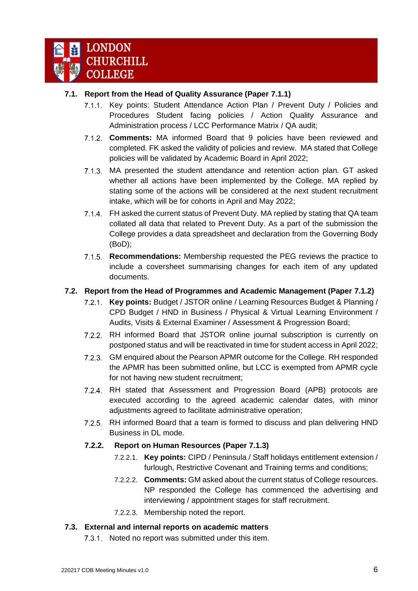

#### <span id="page-5-0"></span>**7.1. Report from the Head of Quality Assurance (Paper 7.1.1)**

- 7.1.1. Key points: Student Attendance Action Plan / Prevent Duty / Policies and Procedures Student facing policies / Action Quality Assurance and Administration process / LCC Performance Matrix / QA audit;
- **Comments:** MA informed Board that 9 policies have been reviewed and completed. FK asked the validity of policies and review. MA stated that College policies will be validated by Academic Board in April 2022;
- MA presented the student attendance and retention action plan. GT asked whether all actions have been implemented by the College. MA replied by stating some of the actions will be considered at the next student recruitment intake, which will be for cohorts in April and May 2022;
- 7.1.4. FH asked the current status of Prevent Duty. MA replied by stating that QA team collated all data that related to Prevent Duty. As a part of the submission the College provides a data spreadsheet and declaration from the Governing Body (BoD);
- **Recommendations:** Membership requested the PEG reviews the practice to include a coversheet summarising changes for each item of any updated documents.

# <span id="page-5-1"></span>**7.2. Report from the Head of Programmes and Academic Management (Paper 7.1.2)**

- **Key points:** Budget / JSTOR online / Learning Resources Budget & Planning / CPD Budget / HND in Business / Physical & Virtual Learning Environment / Audits, Visits & External Examiner / Assessment & Progression Board;
- RH informed Board that JSTOR online journal subscription is currently on postponed status and will be reactivated in time for student access in April 2022;
- GM enquired about the Pearson APMR outcome for the College. RH responded the APMR has been submitted online, but LCC is exempted from APMR cycle for not having new student recruitment;
- RH stated that Assessment and Progression Board (APB) protocols are  $7.2.4$ executed according to the agreed academic calendar dates, with minor adjustments agreed to facilitate administrative operation;
- 7.2.5. RH informed Board that a team is formed to discuss and plan delivering HND Business in DL mode.

#### **7.2.2. Report on Human Resources (Paper 7.1.3)**

- 7.2.2.1. **Key points:** CIPD / Peninsula / Staff holidays entitlement extension / furlough, Restrictive Covenant and Training terms and conditions;
- 7.2.2.2. **Comments:** GM asked about the current status of College resources. NP responded the College has commenced the advertising and interviewing / appointment stages for staff recruitment.
- 7.2.2.3. Membership noted the report.

#### <span id="page-5-2"></span>**7.3. External and internal reports on academic matters**

7.3.1. Noted no report was submitted under this item.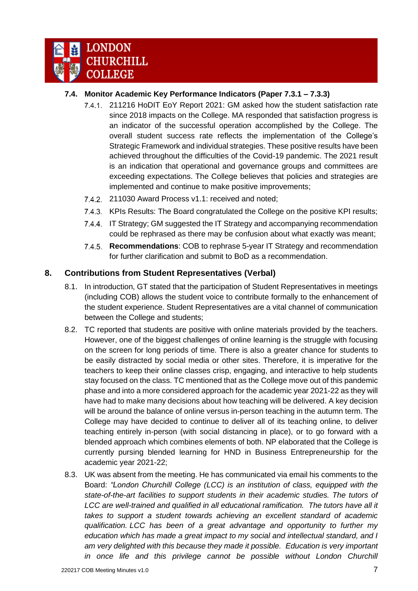

# <span id="page-6-0"></span>**7.4. Monitor Academic Key Performance Indicators (Paper 7.3.1 – 7.3.3)**

- 211216 HoDIT EoY Report 2021: GM asked how the student satisfaction rate since 2018 impacts on the College. MA responded that satisfaction progress is an indicator of the successful operation accomplished by the College. The overall student success rate reflects the implementation of the College's Strategic Framework and individual strategies. These positive results have been achieved throughout the difficulties of the Covid-19 pandemic. The 2021 result is an indication that operational and governance groups and committees are exceeding expectations. The College believes that policies and strategies are implemented and continue to make positive improvements;
- 7.4.2. 211030 Award Process v1.1: received and noted;
- 7.4.3. KPIs Results: The Board congratulated the College on the positive KPI results;
- 7.4.4. IT Strategy: GM suggested the IT Strategy and accompanying recommendation could be rephrased as there may be confusion about what exactly was meant;
- **Recommendations**: COB to rephrase 5-year IT Strategy and recommendation  $7.4.5$ for further clarification and submit to BoD as a recommendation.

#### <span id="page-6-1"></span>**8. Contributions from Student Representatives (Verbal)**

- 8.1. In introduction, GT stated that the participation of Student Representatives in meetings (including COB) allows the student voice to contribute formally to the enhancement of the student experience. Student Representatives are a vital channel of communication between the College and students;
- 8.2. TC reported that students are positive with online materials provided by the teachers. However, one of the biggest challenges of online learning is the struggle with focusing on the screen for long periods of time. There is also a greater chance for students to be easily distracted by social media or other sites. Therefore, it is imperative for the teachers to keep their online classes crisp, engaging, and interactive to help students stay focused on the class. TC mentioned that as the College move out of this pandemic phase and into a more considered approach for the academic year 2021-22 as they will have had to make many decisions about how teaching will be delivered. A key decision will be around the balance of online versus in-person teaching in the autumn term. The College may have decided to continue to deliver all of its teaching online, to deliver teaching entirely in-person (with social distancing in place), or to go forward with a blended approach which combines elements of both. NP elaborated that the College is currently pursing blended learning for HND in Business Entrepreneurship for the academic year 2021-22;
- 8.3. UK was absent from the meeting. He has communicated via email his comments to the Board: *"London Churchill College (LCC) is an institution of class, equipped with the state-of-the-art facilities to support students in their academic studies. The tutors of LCC are well-trained and qualified in all educational ramification. The tutors have all it takes to support a student towards achieving an excellent standard of academic qualification. LCC has been of a great advantage and opportunity to further my education which has made a great impact to my social and intellectual standard, and I am very delighted with this because they made it possible. Education is very important in once life and this privilege cannot be possible without London Churchill*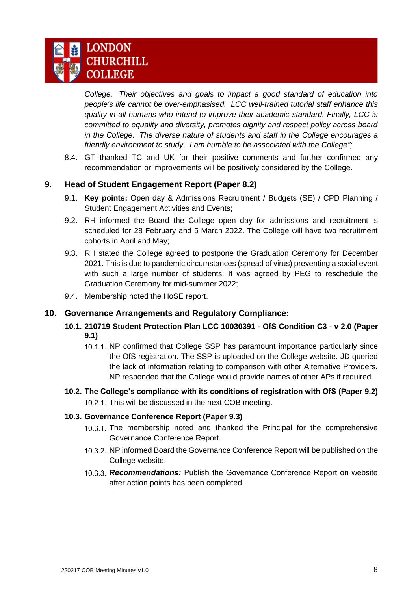

*College. Their objectives and goals to impact a good standard of education into people's life cannot be over-emphasised. LCC well-trained tutorial staff enhance this quality in all humans who intend to improve their academic standard. Finally, LCC is committed to equality and diversity, promotes dignity and respect policy across board in the College. The diverse nature of students and staff in the College encourages a friendly environment to study. I am humble to be associated with the College";*

8.4. GT thanked TC and UK for their positive comments and further confirmed any recommendation or improvements will be positively considered by the College.

# <span id="page-7-0"></span>**9. Head of Student Engagement Report (Paper 8.2)**

- 9.1. **Key points:** Open day & Admissions Recruitment / Budgets (SE) / CPD Planning / Student Engagement Activities and Events;
- 9.2. RH informed the Board the College open day for admissions and recruitment is scheduled for 28 February and 5 March 2022. The College will have two recruitment cohorts in April and May;
- 9.3. RH stated the College agreed to postpone the Graduation Ceremony for December 2021. This is due to pandemic circumstances (spread of virus) preventing a social event with such a large number of students. It was agreed by PEG to reschedule the Graduation Ceremony for mid-summer 2022;
- 9.4. Membership noted the HoSE report.

#### <span id="page-7-2"></span><span id="page-7-1"></span>**10. Governance Arrangements and Regulatory Compliance:**

- **10.1. 210719 Student Protection Plan LCC 10030391 - OfS Condition C3 - v 2.0 (Paper 9.1)**
	- 10.1.1. NP confirmed that College SSP has paramount importance particularly since the OfS registration. The SSP is uploaded on the College website. JD queried the lack of information relating to comparison with other Alternative Providers. NP responded that the College would provide names of other APs if required.
- <span id="page-7-3"></span>**10.2. The College's compliance with its conditions of registration with OfS (Paper 9.2)** 10.2.1. This will be discussed in the next COB meeting.

#### <span id="page-7-4"></span>**10.3. Governance Conference Report (Paper 9.3)**

- 10.3.1. The membership noted and thanked the Principal for the comprehensive Governance Conference Report.
- 10.3.2. NP informed Board the Governance Conference Report will be published on the College website.
- <span id="page-7-5"></span>*Recommendations:* Publish the Governance Conference Report on website after action points has been completed.